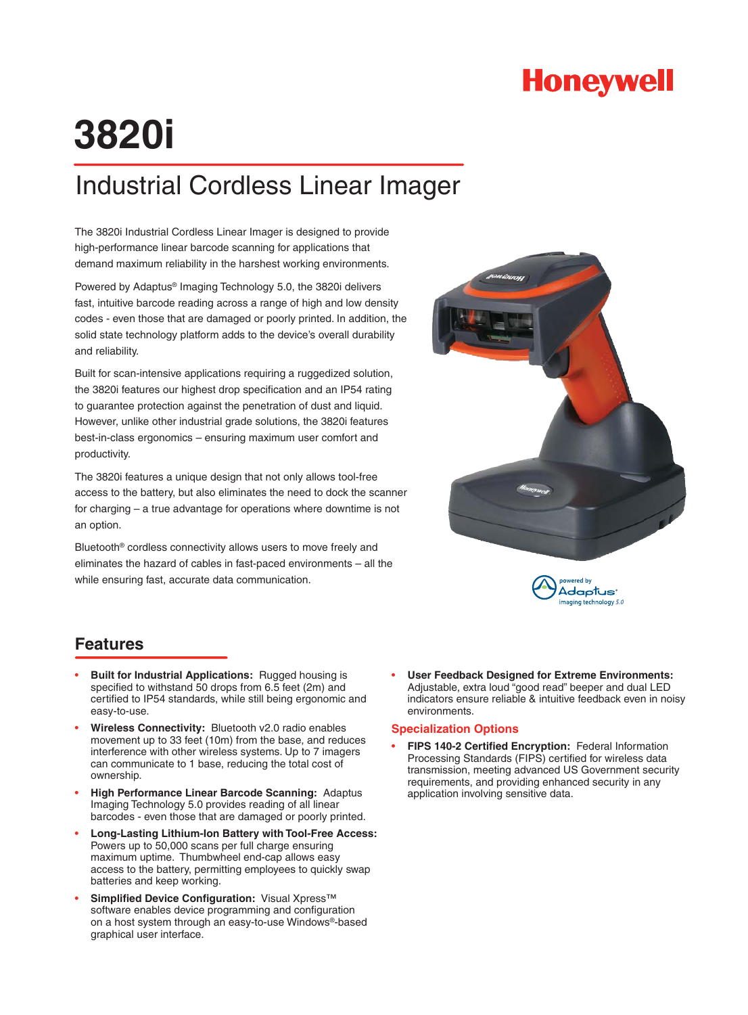# **Honeywell**

# **3820i**

## Industrial Cordless Linear Imager

The 3820i Industrial Cordless Linear Imager is designed to provide high-performance linear barcode scanning for applications that demand maximum reliability in the harshest working environments.

Powered by Adaptus® Imaging Technology 5.0, the 3820i delivers fast, intuitive barcode reading across a range of high and low density codes - even those that are damaged or poorly printed. In addition, the solid state technology platform adds to the device's overall durability and reliability.

Built for scan-intensive applications requiring a ruggedized solution, the 3820i features our highest drop specification and an IP54 rating to guarantee protection against the penetration of dust and liquid. However, unlike other industrial grade solutions, the 3820i features best-in-class ergonomics – ensuring maximum user comfort and productivity.

The 3820i features a unique design that not only allows tool-free access to the battery, but also eliminates the need to dock the scanner for charging – a true advantage for operations where downtime is not an option.

Bluetooth® cordless connectivity allows users to move freely and eliminates the hazard of cables in fast-paced environments – all the while ensuring fast, accurate data communication.

## **Features**

- **Built for Industrial Applications:** Rugged housing is specified to withstand 50 drops from 6.5 feet (2m) and certified to IP54 standards, while still being ergonomic and easy-to-use. •
- **Wireless Connectivity:** Bluetooth v2.0 radio enables movement up to 33 feet (10m) from the base, and reduces interference with other wireless systems. Up to 7 imagers can communicate to 1 base, reducing the total cost of ownership. •
- **High Performance Linear Barcode Scanning:** Adaptus Imaging Technology 5.0 provides reading of all linear barcodes - even those that are damaged or poorly printed. •
- **Long-Lasting Lithium-Ion Battery with Tool-Free Access:** Powers up to 50,000 scans per full charge ensuring maximum uptime. Thumbwheel end-cap allows easy access to the battery, permitting employees to quickly swap batteries and keep working. •
- Simplified Device Configuration: Visual Xpress<sup>™</sup> software enables device programming and configuration on a host system through an easy-to-use Windows®-based graphical user interface. •





**User Feedback Designed for Extreme Environments:**  Adjustable, extra loud "good read" beeper and dual LED indicators ensure reliable & intuitive feedback even in noisy environments. •

### **Specialization Options**

FIPS 140-2 Certified Encryption: Federal Information Processing Standards (FIPS) certified for wireless data transmission, meeting advanced US Government security requirements, and providing enhanced security in any application involving sensitive data. •